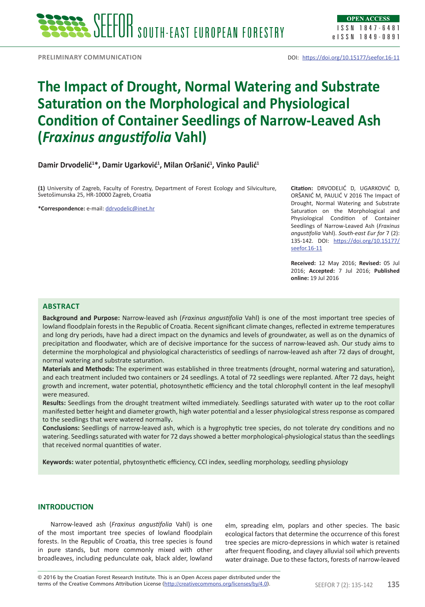

ISSN 1847-6481 eISSN 1849-0891

**Preliminary communication**

# **The Impact of Drought, Normal Watering and Substrate Saturation on the Morphological and Physiological Condition of Container Seedlings of Narrow-Leaved Ash (***Fraxinus angustifolia* **Vahl)**

## **Damir Drvodelić<sup>1</sup> \*, Damir Ugarković<sup>1</sup> , Milan Oršanić<sup>1</sup> , Vinko Paulić<sup>1</sup>**

**(1)** University of Zagreb, Faculty of Forestry, Department of Forest Ecology and Silviculture, Svetošimunska 25, HR-10000 Zagreb, Croatia

**\*Correspondence:** e-mail: ddrvodelic@inet.hr

**Citation:** DRVODELIĆ D, UGARKOVIĆ D, ORŠANIĆ M, PAULIĆ V 2016 The Impact of Drought, Normal Watering and Substrate Saturation on the Morphological and Physiological Condition of Container Seedlings of Narrow-Leaved Ash (*Fraxinus angustifolia* Vahl). *South-east Eur for* 7 (2): 135-142. DOI: https://doi.org/10.15177/ seefor.16-11

**Received:** 12 May 2016; **Revised:** 05 Jul 2016; **Accepted:** 7 Jul 2016; **Published online:** 19 Jul 2016

#### **ABSTRACT**

**Background and Purpose:** Narrow-leaved ash (*Fraxinus angustifolia* Vahl) is one of the most important tree species of lowland floodplain forests in the Republic of Croatia. Recent significant climate changes, reflected in extreme temperatures and long dry periods, have had a direct impact on the dynamics and levels of groundwater, as well as on the dynamics of precipitation and floodwater, which are of decisive importance for the success of narrow-leaved ash. Our study aims to determine the morphological and physiological characteristics of seedlings of narrow-leaved ash after 72 days of drought, normal watering and substrate saturation.

**Materials and Methods:** The experiment was established in three treatments (drought, normal watering and saturation), and each treatment included two containers or 24 seedlings. A total of 72 seedlings were replanted. After 72 days, height growth and increment, water potential, photosynthetic efficiency and the total chlorophyll content in the leaf mesophyll were measured.

**Results:** Seedlings from the drought treatment wilted immediately. Seedlings saturated with water up to the root collar manifested better height and diameter growth, high water potential and a lesser physiological stress response as compared to the seedlings that were watered normally**.**

**Conclusions:** Seedlings of narrow-leaved ash, which is a hygrophytic tree species, do not tolerate dry conditions and no watering. Seedlings saturated with water for 72 days showed a better morphological-physiological status than the seedlings that received normal quantities of water.

**Keywords:** water potential, phytosynthetic efficiency, CCI index, seedling morphology, seedling physiology

#### **INTRODUCTION**

Narrow-leaved ash (*Fraxinus angustifolia* Vahl) is one of the most important tree species of lowland floodplain forests. In the Republic of Croatia, this tree species is found in pure stands, but more commonly mixed with other broadleaves, including pedunculate oak, black alder, lowland elm, spreading elm, poplars and other species. The basic ecological factors that determine the occurrence of this forest tree species are micro-depressions in which water is retained after frequent flooding, and clayey alluvial soil which prevents water drainage. Due to these factors, forests of narrow-leaved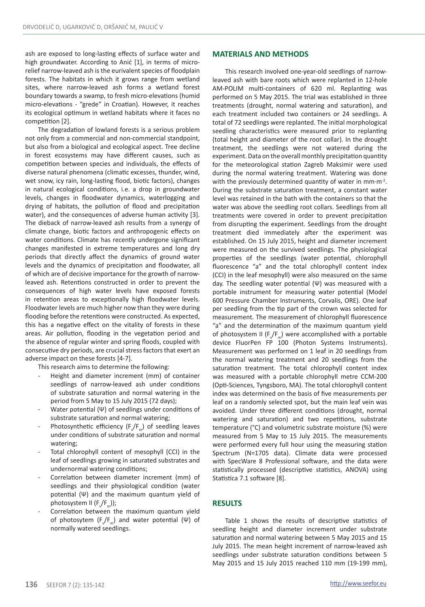ash are exposed to long-lasting effects of surface water and high groundwater. According to Anić [1], in terms of microrelief narrow-leaved ash is the eurivalent species of floodplain forests. The habitats in which it grows range from wetland sites, where narrow-leaved ash forms a wetland forest boundary towards a swamp, to fresh micro-elevations (humid micro-elevations - "grede" in Croatian). However, it reaches its ecological optimum in wetland habitats where it faces no competition [2].

The degradation of lowland forests is a serious problem not only from a commercial and non-commercial standpoint, but also from a biological and ecological aspect. Tree decline in forest ecosystems may have different causes, such as competition between species and individuals, the effects of diverse natural phenomena (climatic excesses, thunder, wind, wet snow, icy rain, long-lasting flood, biotic factors), changes in natural ecological conditions, i.e. a drop in groundwater levels, changes in floodwater dynamics, waterlogging and drying of habitats, the pollution of flood and precipitation water), and the consequences of adverse human activity [3]. The dieback of narrow-leaved ash results from a synergy of climate change, biotic factors and anthropogenic effects on water conditions. Climate has recently undergone significant changes manifested in extreme temperatures and long dry periods that directly affect the dynamics of ground water levels and the dynamics of precipitation and floodwater, all of which are of decisive importance for the growth of narrowleaved ash. Retentions constructed in order to prevent the consequences of high water levels have exposed forests in retention areas to exceptionally high floodwater levels. Floodwater levels are much higher now than they were during flooding before the retentions were constructed. As expected, this has a negative effect on the vitality of forests in these areas. Air pollution, flooding in the vegetation period and the absence of regular winter and spring floods, coupled with consecutive dry periods, are crucial stress factors that exert an adverse impact on these forests [4-7].

This research aims to determine the following:

- Height and diameter increment (mm) of container seedlings of narrow-leaved ash under conditions of substrate saturation and normal watering in the period from 5 May to 15 July 2015 (72 days);
- Water potential (Ψ) of seedlings under conditions of substrate saturation and normal watering;
- Photosynthetic efficiency  $(F_{\neg p})$  of seedling leaves under conditions of substrate saturation and normal watering;
- Total chlorophyll content of mesophyll (CCI) in the leaf of seedlings growing in saturated substrates and undernormal watering conditions;
- Correlation between diameter increment (mm) of seedlings and their physiological condition (water potential (Ψ) and the maximum quantum yield of photosystem II (F<sub>v</sub>/F<sub>m</sub>));
- Correlation between the maximum quantum yield of photosytem  $(F_v/F_m)$  and water potential (Ψ) of normally watered seedlings.

#### **MATERIALS AND METHODS**

This research involved one-year-old seedlings of narrowleaved ash with bare roots which were replanted in 12-hole AM-POLIM multi-containers of 620 ml. Replanting was performed on 5 May 2015. The trial was established in three treatments (drought, normal watering and saturation), and each treatment included two containers or 24 seedlings. A total of 72 seedlings were replanted. The initial morphological seedling characteristics were measured prior to replanting (total height and diameter of the root collar). In the drought treatment, the seedlings were not watered during the experiment. Data on the overall monthly precipitation quantity for the meteorological station Zagreb Maksimir were used during the normal watering treatment. Watering was done with the previously determined quantity of water in mm⋅m<sup>-2</sup>. During the substrate saturation treatment, a constant water level was retained in the bath with the containers so that the water was above the seedling root collars. Seedlings from all treatments were covered in order to prevent precipitation from disrupting the experiment. Seedlings from the drought treatment died immediately after the experiment was established. On 15 July 2015, height and diameter increment were measured on the survived seedlings. The physiological properties of the seedlings (water potential, chlorophyll fluorescence "a" and the total chlorophyll content index (CCI) in the leaf mesophyll) were also measured on the same day. The seedling water potential (Ψ) was measured with a portable instrument for measuring water potential (Model 600 Pressure Chamber Instruments, Corvalis, ORE). One leaf per seedling from the tip part of the crown was selected for measurement. The measurement of chlorophyll fluorescence "a" and the determination of the maximum quantum yield of photosystem II  $(F_v/F_m)$  were accomplished with a portable device FluorPen FP 100 (Photon Systems Instruments). Measurement was performed on 1 leaf in 20 seedlings from the normal watering treatment and 20 seedlings from the saturation treatment. The total chlorophyll content index was measured with a portable chlorophyll metre CCM-200 (Opti-Sciences, Tyngsboro, MA). The total chlorophyll content index was determined on the basis of five measurements per leaf on a randomly selected spot, but the main leaf vein was avoided. Under three different conditions (drought, normal watering and saturation) and two repetitions, substrate temperature (°C) and volumetric substrate moisture (%) were measured from 5 May to 15 July 2015. The measurements were performed every full hour using the measuring station Spectrum (N=1705 data). Climate data were processed with SpecWare 8 Professional software, and the data were statistically processed (descriptive statistics, ANOVA) using Statistica 7.1 software [8].

#### **RESULTS**

Table 1 shows the results of descriptive statistics of seedling height and diameter increment under substrate saturation and normal watering between 5 May 2015 and 15 July 2015. The mean height increment of narrow-leaved ash seedlings under substrate saturation conditions between 5 May 2015 and 15 July 2015 reached 110 mm (19-199 mm),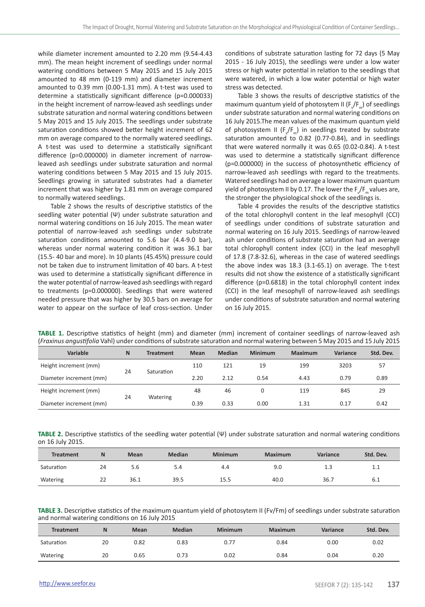while diameter increment amounted to 2.20 mm (9.54-4.43 mm). The mean height increment of seedlings under normal watering conditions between 5 May 2015 and 15 July 2015 amounted to 48 mm (0-119 mm) and diameter increment amounted to 0.39 mm (0.00-1.31 mm). A t-test was used to determine a statistically significant difference (p=0.000033) in the height increment of narrow-leaved ash seedlings under substrate saturation and normal watering conditions between 5 May 2015 and 15 July 2015. The seedlings under substrate saturation conditions showed better height increment of 62 mm on average compared to the normally watered seedlings. A t-test was used to determine a statistically significant difference (p=0.000000) in diameter increment of narrowleaved ash seedlings under substrate saturation and normal watering conditions between 5 May 2015 and 15 July 2015. Seedlings growing in saturated substrates had a diameter increment that was higher by 1.81 mm on average compared to normally watered seedlings.

Table 2 shows the results of descriptive statistics of the seedling water potential (Ψ) under substrate saturation and normal watering conditions on 16 July 2015. The mean water potential of narrow-leaved ash seedlings under substrate saturation conditions amounted to 5.6 bar (4.4-9.0 bar), whereas under normal watering condition it was 36.1 bar (15.5- 40 bar and more). In 10 plants (45.45%) pressure could not be taken due to instrument limitation of 40 bars. A t-test was used to determine a statistically significant difference in the water potential of narrow-leaved ash seedlings with regard to treatments (p=0.000000). Seedlings that were watered needed pressure that was higher by 30.5 bars on average for water to appear on the surface of leaf cross-section. Under

conditions of substrate saturation lasting for 72 days (5 May 2015 - 16 July 2015), the seedlings were under a low water stress or high water potential in relation to the seedlings that were watered, in which a low water potential or high water stress was detected.

Table 3 shows the results of descriptive statistics of the maximum quantum yield of photosytem II ( $F_{\gamma}/F_{\overline{m}}$ ) of seedlings under substrate saturation and normal watering conditions on 16 July 2015.The mean values of the maximum quantum yield of photosystem II ( $F_{\gamma}/F_{\pi}$ ) in seedlings treated by substrate saturation amounted to 0.82 (0.77-0.84), and in seedlings that were watered normally it was 0.65 (0.02-0.84). A t-test was used to determine a statistically significant difference (p=0.000000) in the success of photosynthetic efficiency of narrow-leaved ash seedlings with regard to the treatments. Watered seedlings had on average a lower maximum quantum yield of photosystem II by 0.17. The lower the  $F_{\gamma}/F_{\gamma}$  values are, the stronger the physiological shock of the seedlings is.

Table 4 provides the results of the descriptive statistics of the total chlorophyll content in the leaf mesophyll (CCI) of seedlings under conditions of substrate saturation and normal watering on 16 July 2015. Seedlings of narrow-leaved ash under conditions of substrate saturation had an average total chlorophyll content index (CCI) in the leaf mesophyll of 17.8 (7.8-32.6), whereas in the case of watered seedlings the above index was 18.3 (3.1-65.1) on average. The t-test results did not show the existence of a statistically significant difference (p=0.6818) in the total chlorophyll content index (CCI) in the leaf mesophyll of narrow-leaved ash seedlings under conditions of substrate saturation and normal watering on 16 July 2015.

| Variable                | N  | <b>Treatment</b> | <b>Mean</b> | Median | Minimum | Maximum | Variance | Std. Dev. |
|-------------------------|----|------------------|-------------|--------|---------|---------|----------|-----------|
| Height increment (mm)   | 24 | Saturation       | 110         | 121    | 19      | 199     | 3203     | 57        |
| Diameter increment (mm) |    |                  | 2.20        | 2.12   | 0.54    | 4.43    | 0.79     | 0.89      |
| Height increment (mm)   | 24 |                  | 48          | 46     | 0       | 119     | 845      | 29        |
| Diameter increment (mm) |    | Watering         | 0.39        | 0.33   | 0.00    | 1.31    | 0.17     | 0.42      |

**TABLE 1.** Descriptive statistics of height (mm) and diameter (mm) increment of container seedlings of narrow-leaved ash (*Fraxinus angustifolia* Vahl) under conditions of substrate saturation and normal watering between 5 May 2015 and 15 July 2015

**TABLE 2.** Descriptive statistics of the seedling water potential (Ψ) under substrate saturation and normal watering conditions on 16 July 2015.

| <b>Treatment</b> | N  | <b>Mean</b> | Median | <b>Minimum</b> | <b>Maximum</b> | Variance | Std. Dev. |
|------------------|----|-------------|--------|----------------|----------------|----------|-----------|
| Saturation       | 24 | 5.6         | 5.4    | 4.4            | 9.0            | 1.3      | 1.1       |
| Watering         | 22 | 36.1        | 39.5   | 15.5           | 40.0           | 36.7     | 6.1       |

**TABLE 3.** Descriptive statistics of the maximum quantum yield of photosytem II (Fv/Fm) of seedlings under substrate saturation and normal watering conditions on 16 July 2015

| <b>Treatment</b> | N  | Mean | <b>Median</b> | <b>Minimum</b> | <b>Maximum</b> | Variance | Std. Dev. |
|------------------|----|------|---------------|----------------|----------------|----------|-----------|
| Saturation       | 20 | 0.82 | 0.83          | 0.77           | 0.84           | 0.00     | 0.02      |
| Watering         | 20 | 0.65 | 0.73          | 0.02           | 0.84           | 0.04     | 0.20      |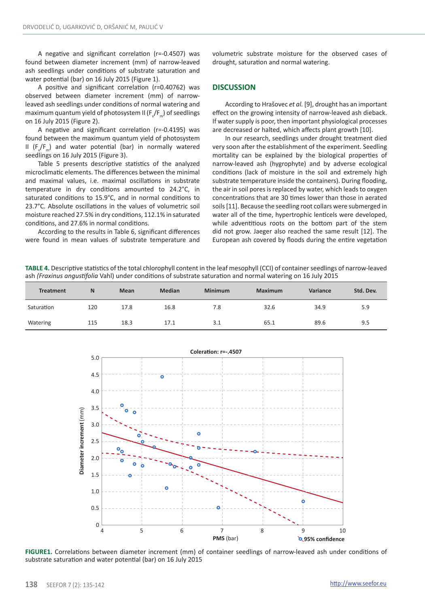A negative and significant correlation (r=-0.4507) was found between diameter increment (mm) of narrow-leaved ash seedlings under conditions of substrate saturation and water potential (bar) on 16 July 2015 (Figure 1).

A positive and significant correlation (r=0.40762) was observed between diameter increment (mm) of narrowleaved ash seedlings under conditions of normal watering and maximum quantum yield of photosystem II (F $\sqrt{\mathsf{F}_{_{\sf m}}}$ ) of seedlings on 16 July 2015 (Figure 2).

A negative and significant correlation (r=-0.4195) was found between the maximum quantum yield of photosystem II ( $F_{\gamma}/F_{\pi}$ ) and water potential (bar) in normally watered seedlings on 16 July 2015 (Figure 3).

Table 5 presents descriptive statistics of the analyzed microclimatic elements. The differences between the minimal and maximal values, i.e. maximal oscillations in substrate temperature in dry conditions amounted to 24.2°C, in saturated conditions to 15.9°C, and in normal conditions to 23.7°C. Absolute oscillations in the values of volumetric soil moisture reached 27.5% in dry conditions, 112.1% in saturated conditions, and 27.6% in normal conditions.

According to the results in Table 6, significant differences were found in mean values of substrate temperature and volumetric substrate moisture for the observed cases of drought, saturation and normal watering.

### **DISCUSSION**

According to Hrašovec *et al.* [9], drought has an important effect on the growing intensity of narrow-leaved ash dieback. If water supply is poor, then important physiological processes are decreased or halted, which affects plant growth [10].

In our research, seedlings under drought treatment died very soon after the establishment of the experiment. Seedling mortality can be explained by the biological properties of narrow-leaved ash (hygrophyte) and by adverse ecological conditions (lack of moisture in the soil and extremely high substrate temperature inside the containers). During flooding, the air in soil pores is replaced by water, which leads to oxygen concentrations that are 30 times lower than those in aerated soils [11]. Because the seedling root collars were submerged in water all of the time, hypertrophic lenticels were developed, while adventitious roots on the bottom part of the stem did not grow. Jaeger also reached the same result [12]. The European ash covered by floods during the entire vegetation

**TABLE 4.** Descriptive statistics of the total chlorophyll content in the leaf mesophyll (CCI) of container seedlings of narrow-leaved ash *(Fraxinus angustifolia* Vahl) under conditions of substrate saturation and normal watering on 16 July 2015

| <b>Treatment</b> | $\mathbb{N}$ | Mean | Median | <b>Minimum</b> | <b>Maximum</b> | Variance | Std. Dev. |
|------------------|--------------|------|--------|----------------|----------------|----------|-----------|
| Saturation       | 120          | 17.8 | 16.8   | 7.8            | 32.6           | 34.9     | 5.9       |
| Watering         | 115          | 18.3 | 17.1   | 3.1            | 65.1           | 89.6     | 9.5       |



**FIGURE1.** Correlations between diameter increment (mm) of container seedlings of narrow-leaved ash under conditions of substrate saturation and water potential (bar) on 16 July 2015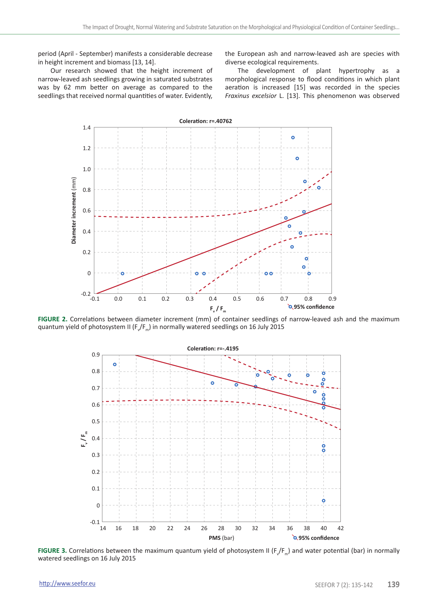period (April - September) manifests a considerable decrease in height increment and biomass [13, 14].

Our research showed that the height increment of narrow-leaved ash seedlings growing in saturated substrates was by 62 mm better on average as compared to the seedlings that received normal quantities of water. Evidently, the European ash and narrow-leaved ash are species with diverse ecological requirements.

The development of plant hypertrophy as a morphological response to flood conditions in which plant aeration is increased [15] was recorded in the species *Fraxinus excelsior* L. [13]. This phenomenon was observed



**FIGURE 2.** Correlations between diameter increment (mm) of container seedlings of narrow-leaved ash and the maximum quantum yield of photosystem II (F $\rm _v$ /F $_{\rm m}$ ) in normally watered seedlings on 16 July 2015



**FIGURE 3.** Correlations between the maximum quantum yield of photosystem II ( $F_{\gamma}/F_{\rm m}$ ) and water potential (bar) in normally watered seedlings on 16 July 2015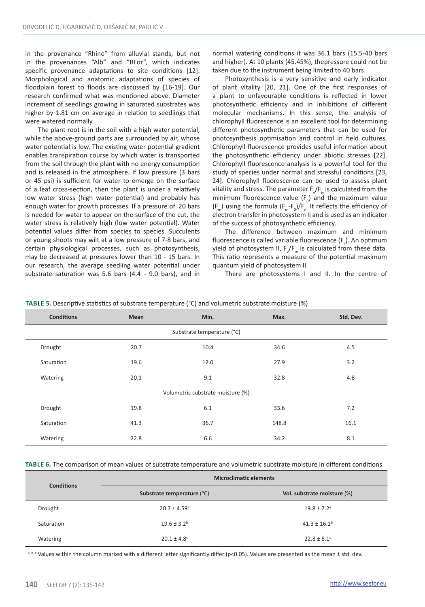in the provenance "Rhine" from alluvial stands, but not in the provenances "Alb" and "BFor", which indicates specific provenance adaptations to site conditions [12]. Morphological and anatomic adaptations of species of floodplain forest to floods are discussed by [16-19]. Our research confirmed what was mentioned above. Diameter increment of seedlings growing in saturated substrates was higher by 1.81 cm on average in relation to seedlings that were watered normally.

The plant root is in the soil with a high water potential, while the above-ground parts are surrounded by air, whose water potential is low. The existing water potential gradient enables transpiration course by which water is transported from the soil through the plant with no energy consumption and is released in the atmosphere. If low pressure (3 bars or 45 psi) is sufficient for water to emerge on the surface of a leaf cross-section, then the plant is under a relatively low water stress (high water potential) and probably has enough water for growth processes. If a pressure of 20 bars is needed for water to appear on the surface of the cut, the water stress is relatively high (low water potential). Water potential values differ from species to species. Succulents or young shoots may wilt at a low pressure of 7-8 bars, and certain physiological processes, such as photosynthesis, may be decreased at pressures lower than 10 - 15 bars. In our research, the average seedling water potential under substrate saturation was 5.6 bars (4.4 - 9.0 bars), and in normal watering conditions it was 36.1 bars (15.5-40 bars and higher). At 10 plants (45.45%), thepressure could not be taken due to the instrument being limited to 40 bars.

Photosynthesis is a very sensitive and early indicator of plant vitality [20, 21]. One of the first responses of a plant to unfavourable conditions is reflected in lower photosynthetic efficiency and in inhibitions of different molecular mechanisms. In this sense, the analysis of chlorophyll fluorescence is an excellent tool for determining different photosynthetic parameters that can be used for photosynthesis optimisation and control in field cultures. Chlorophyll fluorescence provides useful information about the photosynthetic efficiency under abiotic stresses [22]. Chlorophyll fluorescence analysis is a powerful tool for the study of species under normal and stressful conditions [23, 24]. Chlorophyll fluorescence can be used to assess plant vitality and stress. The parameter  $F\sqrt{F_m}$  is calculated from the minimum fluorescence value  $(F_0)$  and the maximum value  $(F_m)$  using the formula  $(F_m-F_0)/F_m$  It reflects the efficiency of electron transfer in photosystem II and is used as an indicator of the success of photosynthetic efficiency.

The difference between maximum and minimum fluorescence is called variable fluorescence  $(F_v)$ . An optimum yield of photosystem II,  $F_v/F_m$  is calculated from these data. This ratio represents a measure of the potential maximum quantum yield of photosystem II.

There are photosystems I and II. In the centre of

| <b>Conditions</b>                 | <b>Mean</b> | Min. | Max.  | Std. Dev. |  |  |  |
|-----------------------------------|-------------|------|-------|-----------|--|--|--|
| Substrate temperature (°C)        |             |      |       |           |  |  |  |
| Drought                           | 20.7        | 10.4 | 34.6  | 4.5       |  |  |  |
| Saturation                        | 19.6        | 12.0 | 27.9  | 3.2       |  |  |  |
| Watering                          | 20.1        | 9.1  | 32.8  | 4.8       |  |  |  |
| Volumetric substrate moisture (%) |             |      |       |           |  |  |  |
| Drought                           | 19.8        | 6.1  | 33.6  | 7.2       |  |  |  |
| Saturation                        | 41.3        | 36.7 | 148.8 | 16.1      |  |  |  |
| Watering                          | 22.8        | 6.6  | 34.2  | 8.1       |  |  |  |

**TABLE 5.** Descriptive statistics of substrate temperature (°C) and volumetric substrate moisture (%)

**Table 6.** The comparison of mean values of substrate temperature and volumetric substrate moisture in different conditions

| <b>Conditions</b> | <b>Microclimatic elements</b> |                              |  |  |  |
|-------------------|-------------------------------|------------------------------|--|--|--|
|                   | Substrate temperature (°C)    | Vol. substrate moisture (%)  |  |  |  |
| Drought           | $20.7 \pm 4.59$ <sup>a</sup>  | $19.8 \pm 7.2$ <sup>a</sup>  |  |  |  |
| Saturation        | $19.6 \pm 3.2$ <sup>b</sup>   | $41.3 \pm 16.1$ <sup>b</sup> |  |  |  |
| Watering          | $20.1 \pm 4.8^{\circ}$        | $22.8 \pm 8.1$ <sup>c</sup>  |  |  |  |

a, b, c Values within the column marked with a different letter significantly differ (p<0.05). Values are presented as the mean ± std. dev.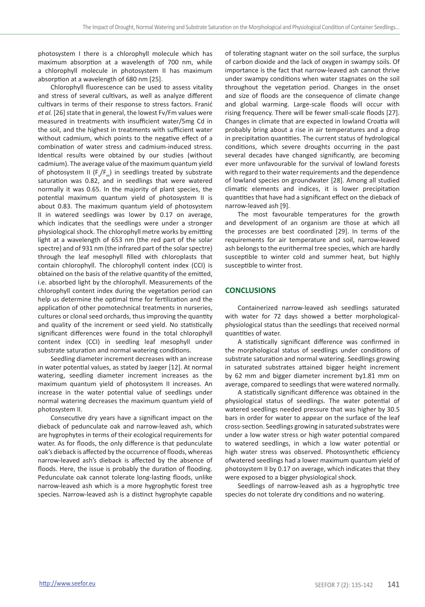photosystem I there is a chlorophyll molecule which has maximum absorption at a wavelength of 700 nm, while a chlorophyll molecule in photosystem II has maximum absorption at a wavelength of 680 nm [25].

Chlorophyll fluorescence can be used to assess vitality and stress of several cultivars, as well as analyze different cultivars in terms of their response to stress factors. Franić *et al.* [26] state that in general, the lowest Fv/Fm values were measured in treatments with insufficient water/5mg Cd in the soil, and the highest in treatments with sufficient water without cadmium, which points to the negative effect of a combination of water stress and cadmium-induced stress. Identical results were obtained by our studies (without cadmium). The average value of the maximum quantum yield of photosystem II  $(F_v/F_m)$  in seedlings treated by substrate saturation was 0.82, and in seedlings that were watered normally it was 0.65. In the majority of plant species, the potential maximum quantum yield of photosystem II is about 0.83. The maximum quantum yield of photosystem II in watered seedlings was lower by 0.17 on average, which indicates that the seedlings were under a stronger physiological shock. The chlorophyll metre works by emitting light at a wavelength of 653 nm (the red part of the solar spectre) and of 931 nm (the infrared part of the solar spectre) through the leaf mesophyll filled with chloroplasts that contain chlorophyll. The chlorophyll content index (CCI) is obtained on the basis of the relative quantity of the emitted, i.e. absorbed light by the chlorophyll. Measurements of the chlorophyll content index during the vegetation period can help us determine the optimal time for fertilization and the application of other pomotechnical treatments in nurseries, cultures or clonal seed orchards, thus improving the quantity and quality of the increment or seed yield. No statistically significant differences were found in the total chlorophyll content index (CCI) in seedling leaf mesophyll under substrate saturation and normal watering conditions.

Seedling diameter increment decreases with an increase in water potential values, as stated by Jaeger [12]. At normal watering, seedling diameter increment increases as the maximum quantum yield of photosystem II increases. An increase in the water potential value of seedlings under normal watering decreases the maximum quantum yield of photosystem II.

Consecutive dry years have a significant impact on the dieback of pedunculate oak and narrow-leaved ash, which are hygrophytes in terms of their ecological requirements for water. As for floods, the only difference is that pedunculate oak's dieback is affected by the occurrence of floods, whereas narrow-leaved ash's dieback is affected by the absence of floods. Here, the issue is probably the duration of flooding. Pedunculate oak cannot tolerate long-lasting floods, unlike narrow-leaved ash which is a more hygrophytic forest tree species. Narrow-leaved ash is a distinct hygrophyte capable

of tolerating stagnant water on the soil surface, the surplus of carbon dioxide and the lack of oxygen in swampy soils. Of importance is the fact that narrow-leaved ash cannot thrive under swampy conditions when water stagnates on the soil throughout the vegetation period. Changes in the onset and size of floods are the consequence of climate change and global warming. Large-scale floods will occur with rising frequency. There will be fewer small-scale floods [27]. Changes in climate that are expected in lowland Croatia will probably bring about a rise in air temperatures and a drop in precipitation quantities. The current status of hydrological conditions, which severe droughts occurring in the past several decades have changed significantly, are becoming ever more unfavourable for the survival of lowland forests with regard to their water requirements and the dependence of lowland species on groundwater [28]. Among all studied climatic elements and indices, it is lower precipitation quantities that have had a significant effect on the dieback of narrow-leaved ash [9].

The most favourable temperatures for the growth and development of an organism are those at which all the processes are best coordinated [29]. In terms of the requirements for air temperature and soil, narrow-leaved ash belongs to the eurithermal tree species, which are hardly susceptible to winter cold and summer heat, but highly susceptible to winter frost.

#### **CONCLUSIONS**

Containerized narrow-leaved ash seedlings saturated with water for 72 days showed a better morphologicalphysiological status than the seedlings that received normal quantities of water.

A statistically significant difference was confirmed in the morphological status of seedlings under conditions of substrate saturation and normal watering. Seedlings growing in saturated substrates attained bigger height increment by 62 mm and bigger diameter increment by1.81 mm on average, compared to seedlings that were watered normally.

A statistically significant difference was obtained in the physiological status of seedlings. The water potential of watered seedlings needed pressure that was higher by 30.5 bars in order for water to appear on the surface of the leaf cross-section. Seedlings growing in saturated substrates were under a low water stress or high water potential compared to watered seedlings, in which a low water potential or high water stress was observed. Photosynthetic efficiency ofwatered seedlings had a lower maximum quantum yield of photosystem II by 0.17 on average, which indicates that they were exposed to a bigger physiological shock.

Seedlings of narrow-leaved ash as a hygrophytic tree species do not tolerate dry conditions and no watering.